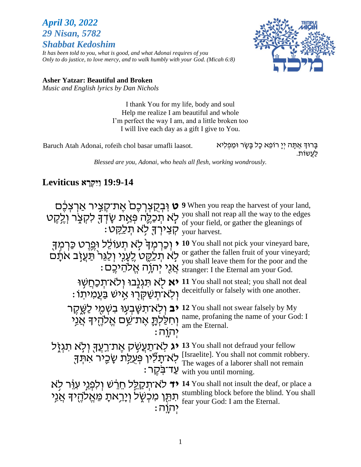# *April 30, 2022 29 Nisan, 5782 Shabbat Kedoshim*

*It has been told to you, what is good, and what Adonai requires of you Only to do justice, to love mercy, and to walk humbly with your God. (Micah 6:8)*



#### **Asher Yatzar: Beautiful and Broken**

*Music and English lyrics by Dan Nichols*

I thank You for my life, body and soul Help me realize I am beautiful and whole I'm perfect the way I am, and a little broken too I will live each day as a gift I give to You.

Baruch Atah Adonai, rofeih chol basar umafli laasot.

בָרוּדְ אַתָּה יְיָ רוֹפֵא כָל בָּשָׂר וּמַפְלִיא<br>לַעֲשׁוֹת.

*Blessed are you, Adonai, who heals all flesh, working wondrously.*

# **19:9-14 ַוִּי ְקָרא Leviticus**

| ט וּבְקֵצְרְכֶם אֱת־קָצֵיר אַרְצְכֶם<br>לְא תִכְלֵה פְּאַת שָׂדְךָּ לִקְצָר וְלֵקֵט<br>ּקְצֵירְךָּ לְא תָלַקֵּט:     | <b>9</b> When you reap the harvest of your land,<br>you shall not reap all the way to the edges<br>of your field, or gather the gleanings of<br>your harvest.                                             |
|----------------------------------------------------------------------------------------------------------------------|-----------------------------------------------------------------------------------------------------------------------------------------------------------------------------------------------------------|
| וְכַרְמְךָׂ לָא תְעוֹלֶל וּפֵרֵט כַּרְמְךָ<br>לְא תְּלַקֶט לֶעָנִי וְלַגֵּר <sup>י</sup> תַּעֲזָב אתָ <del>ּ</del> ם | 10 You shall not pick your vineyard bare,<br>or gather the fallen fruit of your vineyard;<br>you shall leave them for the poor and the<br>: אֲנֶי יְהְוָה אֱלֹהֵיכֵם stranger: I the Eternal am your God. |
| <b>יא</b> לא תּגְנֶבוּ וְלֹא־תְכַחֲשָׁוּ<br>וִלְאֹ־תְשַׁקְרִוּ אֵישׁ בַּעֲמִיתוֹ                                     | 11 You shall not steal; you shall not deal<br>deceitfully or falsely with one another.                                                                                                                    |
| <b>יב</b> ולא־תשַׁבִעִוּ בשִׂמִי לַשֲקֵר<br>וְחִלַלְתֳָ אֱת־שֵׁם אֱלֹהֶיךָ אֲנֵי<br><u> יהוה:</u>                    | 12 You shall not swear falsely by My<br>name, profaning the name of your God: I<br>am the Eternal.                                                                                                        |
| יג לא־תַעַשְׁק אֵת־רֵעֲךָ וִלְא תִגְזֶל<br>לְא־תָלִיו פְּעָלַת שָׂכֵיר אתִד<br>ּעַד־בּקֵר                            | 13 You shall not defraud your fellow<br>[Israelite]. You shall not commit robbery.<br>The wages of a laborer shall not remain<br>with you until morning.                                                  |
| <b>יד</b> לא־תִקַלֵּל חֵרֵשׁ וְלִפְנֵי עְוֶר לְא<br>תּתֵּן מִכְשֶׁל וְיָרֵאתָ מֵאֱלֹהֶיךָ אֲנִי                      | 14 You shall not insult the deaf, or place a<br>stumbling block before the blind. You shall<br>fear your God: I am the Eternal.                                                                           |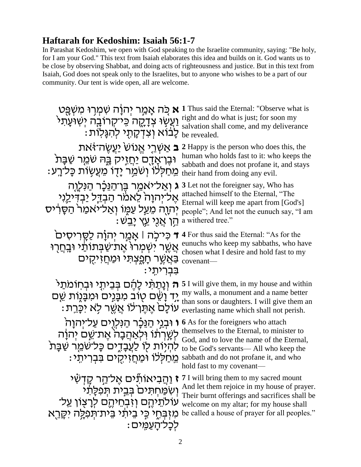# **Haftarah for Kedoshim: Isaiah 56:1-7**

In Parashat Kedoshim, we open with God speaking to the Israelite community, saying: "Be holy, for I am your God." This text from Isaiah elaborates this idea and builds on it. God wants us to be close by observing Shabbat, and doing acts of righteousness and justice. But in this text from Isaiah, God does not speak only to the Israelites, but to anyone who wishes to be a part of our community. Our tent is wide open, all are welcome.

**ָאֲמַר יְהוֹה שִׁמְרִוּ מִשְׁפֵּט 1** I Thus said the Eternal: "Observe what is יְעֲשָׁ right and do what is just; for soon my נְעֲשָׁ צְדָקֶה כְּיַקְרוֹבֶה יְשִׁוּעָת<sup>ֶ ג</sup>ֹ ָּבֹּוֹא וְצִדְקָתָי לְהִגָּלוֹת: be revealed. salvation shall come, and my deliverance **ב** אַשְׂרֵי אֱנוֹשׂ יַעֲשֶׂה־זֹּאת 2 Happy is the person who does this, the <sup>הַבְּ</sup>הָ שְׁמֻר שַׁבָּת<sup>ּ</sup> human who holds fast to it: who keeps the<br>abbath and does not profane it and stavs ה מֵישַׁמִּל וְשִׁמֵׂר יָדָו מֵעֲשָׂוֹת כָּל־רָע: their hand from doing any evil. sabbath and does not profane it, and stays ג וְאַל־יאמַר בֶּן־הַנֵּכָָר הַנִּלְוָה 3 Let not the foreigner say, Who has ְ" אֶל־יְהוָהֹ לֵאמו הַבְדֵל יַבְדִילֵנִי יְהוָה מֵעַל עַמֶּו וְאַל־יֹאמַר הַסָּרִיס  $\cdot$  וְ $\cdot$ אָ נְלֵי עֵץ יָּבֵשׁ $\cdot$  a withered tree." attached himself to the Eternal, "The Eternal will keep me apart from [God's] people"; And let not the eunuch say, "I am י 4 For thus said the Eternal: "As for the בּי־כָה | אָמַר יְהוָ֫ה לַסֶּרִיסִים " אֲשֶר יִשְׁמְרוּ שְׁמְת־שַׂבְתוֹתֵי (Eunuchs who keep my sabbaths, who have subaths, who have בַּאֲשֶׁר חְפֶצְתִּי וּמַחֲזִיקָים - covenant בִבריתי chosen what I desire and hold fast to my **ה וְנָתֲהִי לְחֶם בְּבֵיתָי וּבְחוֹמתַי** 5 I will give them, in my house and within יִּד וָשֵׁם טֻוֹב מִבָּנִים וּמִבָּנֶוּת שֵׁם ซ ּעֹוֹלָם אֶתֶּׁו־לֹוֹ אֲשֶׁר לָא יִכְּרֵת: my walls, a monument and a name better than sons or daughters. I will give them an everlasting name which shall not perish. י **וּבְגֵי הַגַּכְׂר הַנִּלְוָים עַל־יְהוָה** (As for the foreigners who attach ַלְשָׁרְתֹוֹ וִּלְאַהֲבָהֹ אֶת־שֵׁם יְהוָה לִהְיָּוֹת לִוֹ לַעֲבָדִים כָּל־שֹׁמֵר שַׁבָּת : מְחַלְּלֹוּ וּמַחֲזִיקָים בִּבְרִיתִי sabbath and do not profane it, and who themselves to the Eternal, to minister to God, and to love the name of the Eternal, to be God's servants— All who keep the hold fast to my covenant— **ז** וַהֲבִיאוֹתִּים אֶל־הַר קָדְשִׂי יְ יְשִׂמַּחְתִּים בְּבֵית תְּפִלָּתִ<sup>ֹּ</sup>י ֿעֹוֹלֹתֵיֹהֶם וְזִבְחֵיהֶם לְרָצָוֹן עַל־ מִזְבְּתֵי כִּי בֵיתֹי בִית־תְפִלָּה יִקְרֵא be called a house of prayer for all peoples." לכל־הַעֲמֵים : **7** I will bring them to my sacred mount And let them rejoice in my house of prayer. Their burnt offerings and sacrifices shall be welcome on my altar; for my house shall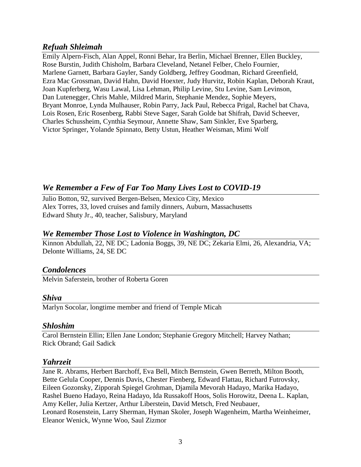### *Refuah Shleimah*

Emily Alpern-Fisch, Alan Appel, Ronni Behar, Ira Berlin, Michael Brenner, Ellen Buckley, Rose Burstin, Judith Chisholm, Barbara Cleveland, Netanel Felber, Chelo Fournier, Marlene Garnett, Barbara Gayler, Sandy Goldberg, Jeffrey Goodman, Richard Greenfield, Ezra Mac Grossman, David Hahn, David Hoexter, Judy Hurvitz, Robin Kaplan, Deborah Kraut, Joan Kupferberg, Wasu Lawal, Lisa Lehman, Philip Levine, Stu Levine, Sam Levinson, Dan Lutenegger, Chris Mahle, Mildred Marin, Stephanie Mendez, Sophie Meyers, Bryant Monroe, Lynda Mulhauser, Robin Parry, Jack Paul, Rebecca Prigal, Rachel bat Chava, Lois Rosen, Eric Rosenberg, Rabbi Steve Sager, Sarah Golde bat Shifrah, David Scheever, Charles Schussheim, Cynthia Seymour, Annette Shaw, Sam Sinkler, Eve Sparberg, Victor Springer, Yolande Spinnato, Betty Ustun, Heather Weisman, Mimi Wolf

# *We Remember a Few of Far Too Many Lives Lost to COVID-19*

Julio Botton, 92, survived Bergen-Belsen, Mexico City, Mexico Alex Torres, 33, loved cruises and family dinners, Auburn, Massachusetts Edward Shuty Jr., 40, teacher, Salisbury, Maryland

## *We Remember Those Lost to Violence in Washington, DC*

Kinnon Abdullah, 22, NE DC; Ladonia Boggs, 39, NE DC; Zekaria Elmi, 26, Alexandria, VA; Delonte Williams, 24, SE DC

# *Condolences*

Melvin Saferstein, brother of Roberta Goren

### *Shiva*

Marlyn Socolar, longtime member and friend of Temple Micah

### *Shloshim*

Carol Bernstein Ellin; Ellen Jane London; Stephanie Gregory Mitchell; Harvey Nathan; Rick Obrand; Gail Sadick

### *Yahrzeit*

Jane R. Abrams, Herbert Barchoff, Eva Bell, Mitch Bernstein, Gwen Berreth, Milton Booth, Bette Gelula Cooper, Dennis Davis, Chester Fienberg, Edward Flattau, Richard Futrovsky, Eileen Gozonsky, Zipporah Spiegel Grohman, Djamila Mevorah Hadayo, Marika Hadayo, Rashel Bueno Hadayo, Reina Hadayo, Ida Russakoff Hoos, Solis Horowitz, Deena L. Kaplan, Amy Keller, Julia Kertzer, Arthur Liberstein, David Metsch, Fred Neubauer, Leonard Rosenstein, Larry Sherman, Hyman Skoler, Joseph Wagenheim, Martha Weinheimer, Eleanor Wenick, Wynne Woo, Saul Zizmor